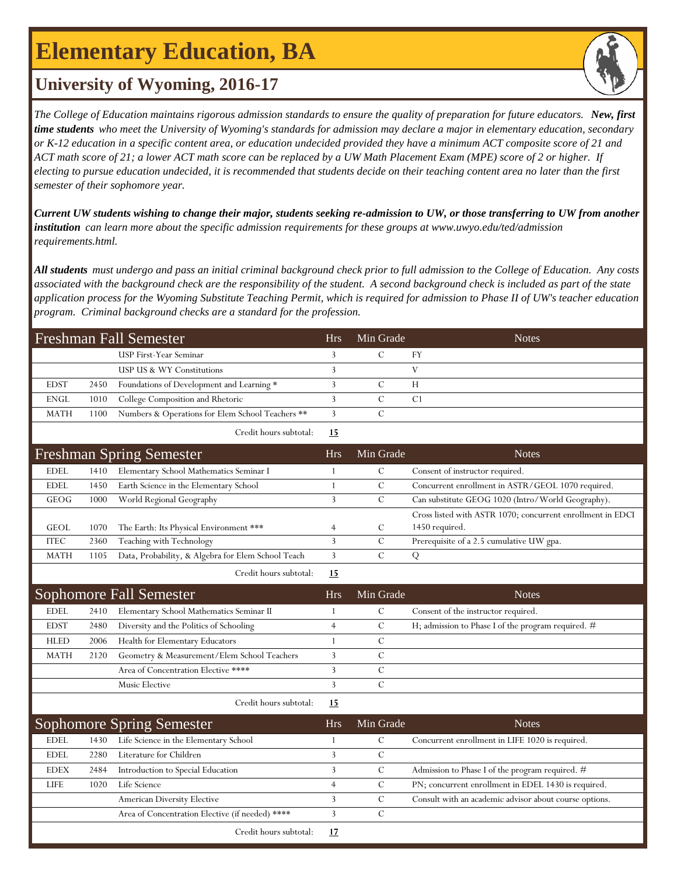# **Elementary Education, BA**



### **University of Wyoming, 2016-17**

*The College of Education maintains rigorous admission standards to ensure the quality of preparation for future educators. New, first time students who meet the University of Wyoming's standards for admission may declare a major in elementary education, secondary or K-12 education in a specific content area, or education undecided provided they have a minimum ACT composite score of 21 and ACT math score of 21; a lower ACT math score can be replaced by a UW Math Placement Exam (MPE) score of 2 or higher. If electing to pursue education undecided, it is recommended that students decide on their teaching content area no later than the first semester of their sophomore year.*

*Current UW students wishing to change their major, students seeking re-admission to UW, or those transferring to UW from another institution can learn more about the specific admission requirements for these groups at www.uwyo.edu/ted/admission requirements.html.* 

*All students must undergo and pass an initial criminal background check prior to full admission to the College of Education. Any costs associated with the background check are the responsibility of the student. A second background check is included as part of the state application process for the Wyoming Substitute Teaching Permit, which is required for admission to Phase II of UW's teacher education program. Criminal background checks are a standard for the profession.*

| Freshman Fall Semester |      |                                                    | <b>Hrs</b>     | Min Grade     | <b>Notes</b>                                                                 |
|------------------------|------|----------------------------------------------------|----------------|---------------|------------------------------------------------------------------------------|
|                        |      | USP First-Year Seminar                             | 3              | $\mathcal{C}$ | FY                                                                           |
|                        |      | USP US & WY Constitutions                          | 3              |               | V                                                                            |
| <b>EDST</b>            | 2450 | Foundations of Development and Learning *          | 3              | $\mathcal{C}$ | Н                                                                            |
| <b>ENGL</b>            | 1010 | College Composition and Rhetoric                   | 3              | $\mathcal{C}$ | C <sub>1</sub>                                                               |
| <b>MATH</b>            | 1100 | Numbers & Operations for Elem School Teachers **   | $\overline{3}$ | $\mathcal{C}$ |                                                                              |
|                        |      | Credit hours subtotal:                             | 15             |               |                                                                              |
|                        |      | <b>Freshman Spring Semester</b>                    | <b>Hrs</b>     | Min Grade     | <b>Notes</b>                                                                 |
| <b>EDEL</b>            | 1410 | Elementary School Mathematics Seminar I            | 1              | C             | Consent of instructor required.                                              |
| <b>EDEL</b>            | 1450 | Earth Science in the Elementary School             | $\mathbf{1}$   | $\mathbf C$   | Concurrent enrollment in ASTR/GEOL 1070 required.                            |
| GEOG                   | 1000 | World Regional Geography                           | $\overline{3}$ | $\mathcal{C}$ | Can substitute GEOG 1020 (Intro/World Geography).                            |
| <b>GEOL</b>            | 1070 | The Earth: Its Physical Environment ***            | $\overline{4}$ | $\mathcal{C}$ | Cross listed with ASTR 1070; concurrent enrollment in EDCI<br>1450 required. |
| <b>ITEC</b>            | 2360 | Teaching with Technology                           | $\overline{3}$ | $\mathcal{C}$ | Prerequisite of a 2.5 cumulative UW gpa.                                     |
| <b>MATH</b>            | 1105 | Data, Probability, & Algebra for Elem School Teach | 3              | $\mathcal{C}$ | Q                                                                            |
|                        |      | Credit hours subtotal:                             | <u> 15</u>     |               |                                                                              |
|                        |      |                                                    |                |               |                                                                              |
|                        |      | Sophomore Fall Semester                            | <b>Hrs</b>     | Min Grade     | <b>Notes</b>                                                                 |
| <b>EDEL</b>            | 2410 | Elementary School Mathematics Seminar II           | 1              | $\mathcal{C}$ | Consent of the instructor required.                                          |
| <b>EDST</b>            | 2480 | Diversity and the Politics of Schooling            | $\overline{4}$ | C             | H; admission to Phase I of the program required. #                           |
| <b>HLED</b>            | 2006 | Health for Elementary Educators                    | 1              | $\mathcal{C}$ |                                                                              |
| <b>MATH</b>            | 2120 | Geometry & Measurement/Elem School Teachers        | 3              | $\mathcal{C}$ |                                                                              |
|                        |      | Area of Concentration Elective ****                | 3              | $\mathcal{C}$ |                                                                              |
|                        |      | Music Elective                                     | 3              | $\mathcal{C}$ |                                                                              |
|                        |      | Credit hours subtotal:                             | 15             |               |                                                                              |
|                        |      | <b>Sophomore Spring Semester</b>                   | Hrs            | Min Grade     | <b>Notes</b>                                                                 |
| <b>EDEL</b>            | 1430 | Life Science in the Elementary School              | 1              | $\mathcal{C}$ | Concurrent enrollment in LIFE 1020 is required.                              |
| <b>EDEL</b>            | 2280 | Literature for Children                            | 3              | $\mathbf C$   |                                                                              |
| <b>EDEX</b>            | 2484 | Introduction to Special Education                  | 3              | $\mathcal{C}$ | Admission to Phase I of the program required. #                              |
| <b>LIFE</b>            | 1020 | Life Science                                       | $\overline{4}$ | C             | PN; concurrent enrollment in EDEL 1430 is required.                          |
|                        |      | American Diversity Elective                        | 3              | $\mathcal{C}$ | Consult with an academic advisor about course options.                       |
|                        |      | Area of Concentration Elective (if needed) ****    | 3              | $\mathcal{C}$ |                                                                              |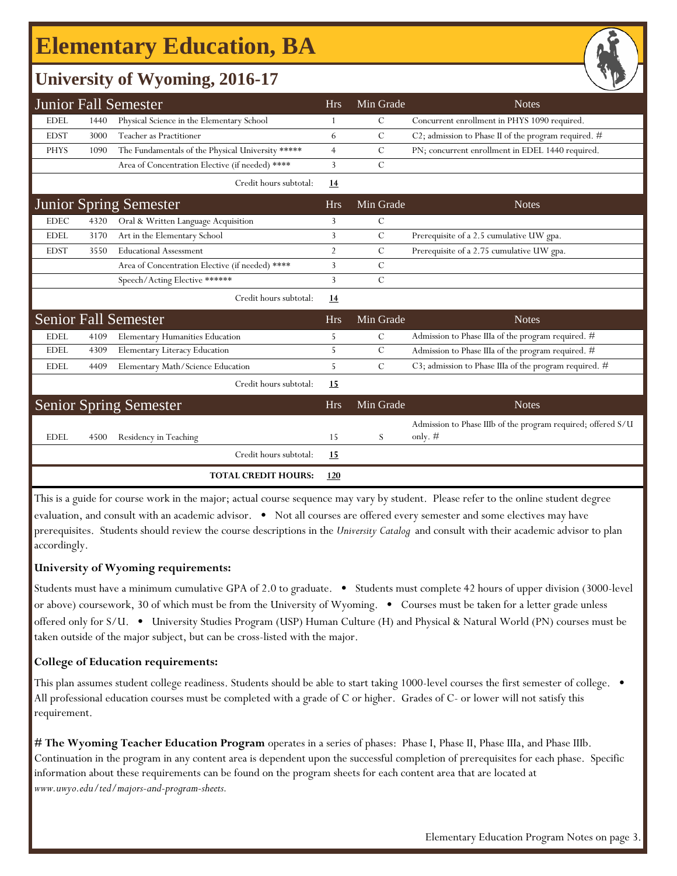## **Elementary Education, BA**

### **University of Wyoming, 2016-17**

|             |                                                                                                                                     | <b>Junior Fall Semester</b>                       | <b>Hrs</b>     | Min Grade     | <b>Notes</b>                                                              |  |  |  |
|-------------|-------------------------------------------------------------------------------------------------------------------------------------|---------------------------------------------------|----------------|---------------|---------------------------------------------------------------------------|--|--|--|
| <b>EDEL</b> | 1440                                                                                                                                | Physical Science in the Elementary School         | 1              | $\mathcal{C}$ | Concurrent enrollment in PHYS 1090 required.                              |  |  |  |
| <b>EDST</b> | 3000                                                                                                                                | Teacher as Practitioner                           | 6              | $\mathcal{C}$ | C2; admission to Phase II of the program required. #                      |  |  |  |
| <b>PHYS</b> | 1090                                                                                                                                | The Fundamentals of the Physical University ***** | $\overline{4}$ | C             | PN; concurrent enrollment in EDEL 1440 required.                          |  |  |  |
|             |                                                                                                                                     | Area of Concentration Elective (if needed) ****   | 3              | $\mathcal{C}$ |                                                                           |  |  |  |
|             |                                                                                                                                     | Credit hours subtotal:                            | 14             |               |                                                                           |  |  |  |
|             |                                                                                                                                     | <b>Junior Spring Semester</b>                     | <b>Hrs</b>     | Min Grade     | <b>Notes</b>                                                              |  |  |  |
| <b>EDEC</b> | 4320                                                                                                                                | Oral & Written Language Acquisition               | 3              | $\mathcal{C}$ |                                                                           |  |  |  |
| <b>EDEL</b> | 3170                                                                                                                                | Art in the Elementary School                      | 3              | $\mathcal{C}$ | Prerequisite of a 2.5 cumulative UW gpa.                                  |  |  |  |
| <b>EDST</b> | 3550                                                                                                                                | <b>Educational Assessment</b>                     | $\overline{2}$ | $\mathcal{C}$ | Prerequisite of a 2.75 cumulative UW gpa.                                 |  |  |  |
|             |                                                                                                                                     | Area of Concentration Elective (if needed) ****   | 3              | C             |                                                                           |  |  |  |
|             |                                                                                                                                     | Speech/Acting Elective ******                     | 3              | $\mathcal{C}$ |                                                                           |  |  |  |
|             |                                                                                                                                     | Credit hours subtotal:                            | <u>14</u>      |               |                                                                           |  |  |  |
|             |                                                                                                                                     | <b>Senior Fall Semester</b>                       | <b>Hrs</b>     | Min Grade     | <b>Notes</b>                                                              |  |  |  |
| <b>EDEL</b> | 4109                                                                                                                                | <b>Elementary Humanities Education</b>            | 5              | C             | Admission to Phase IIIa of the program required. #                        |  |  |  |
| <b>EDEL</b> | 4309                                                                                                                                | Elementary Literacy Education                     | 5              | $\mathcal{C}$ | Admission to Phase IIIa of the program required. #                        |  |  |  |
| <b>EDEL</b> | 4409                                                                                                                                | Elementary Math/Science Education                 | 5              | $\mathcal{C}$ | C3; admission to Phase IIIa of the program required. #                    |  |  |  |
|             |                                                                                                                                     | Credit hours subtotal:                            | 15             |               |                                                                           |  |  |  |
|             |                                                                                                                                     | <b>Senior Spring Semester</b>                     | <b>Hrs</b>     | Min Grade     | <b>Notes</b>                                                              |  |  |  |
| <b>EDEL</b> | 4500                                                                                                                                | Residency in Teaching                             | 15             | S             | Admission to Phase IIIb of the program required; offered S/U<br>only. $#$ |  |  |  |
|             |                                                                                                                                     | Credit hours subtotal:                            | 15             |               |                                                                           |  |  |  |
|             |                                                                                                                                     | <b>TOTAL CREDIT HOURS:</b>                        | 120            |               |                                                                           |  |  |  |
|             | This is a quide for course work in the major: actual course sequence may vary by student. Please refer to the online student degree |                                                   |                |               |                                                                           |  |  |  |

This is a guide for course work in the major; actual course sequence may vary by student. Please refer to the online student degree evaluation, and consult with an academic advisor. • Not all courses are offered every semester and some electives may have prerequisites. Students should review the course descriptions in the *University Catalog* and consult with their academic advisor to plan accordingly.

#### **University of Wyoming requirements:**

Students must have a minimum cumulative GPA of 2.0 to graduate. • Students must complete 42 hours of upper division (3000-level or above) coursework, 30 of which must be from the University of Wyoming. • Courses must be taken for a letter grade unless offered only for S/U. • University Studies Program (USP) Human Culture (H) and Physical & Natural World (PN) courses must be taken outside of the major subject, but can be cross-listed with the major.

#### **College of Education requirements:**

This plan assumes student college readiness. Students should be able to start taking 1000-level courses the first semester of college. All professional education courses must be completed with a grade of C or higher. Grades of C- or lower will not satisfy this requirement.

**[# The Wyoming Teacher Education Program](http://www.uwyo.edu/ted/majors-and-program-sheets)** operates in a series of phases: Phase I, Phase II, Phase IIIa, and Phase IIIb. [Co](http://www.uwyo.edu/ted/majors-and-program-sheets)ntinuation in the program in any content area is dependent upon the successful completion of prerequisites for each phase. Specific [inf](http://www.uwyo.edu/ted/majors-and-program-sheets)ormation about these requirements can be found on the program sheets for each content area that are located at *[ww](http://www.uwyo.edu/ted/majors-and-program-sheets)w.uwyo.edu/ted/majors-and-program-sheets.*